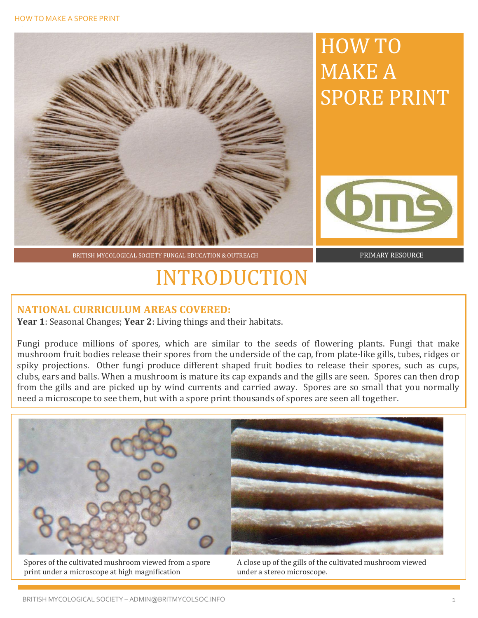

BRITISH MYCOLOGICAL SOCIETY FUNGAL EDUCATION & OUTREACH PRIMARY RESOURCE

### INTRODUCTION

#### **NATIONAL CURRICULUM AREAS COVERED:**

**Year 1**: Seasonal Changes; **Year 2**: Living things and their habitats.

Fungi produce millions of spores, which are similar to the seeds of flowering plants. Fungi that make mushroom fruit bodies release their spores from the underside of the cap, from plate-like gills, tubes, ridges or spiky projections. Other fungi produce different shaped fruit bodies to release their spores, such as cups, clubs, ears and balls. When a mushroom is mature its cap expands and the gills are seen. Spores can then drop from the gills and are picked up by wind currents and carried away. Spores are so small that you normally need a microscope to see them, but with a spore print thousands of spores are seen all together.



Spores of the cultivated mushroom viewed from a spore print under a microscope at high magnification

A close up of the gills of the cultivated mushroom viewed under a stereo microscope.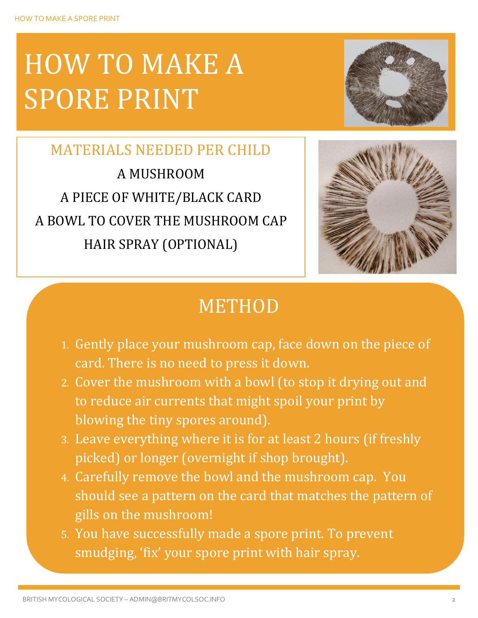# HOW TO MAKE A SPORE PRINT



MATERIALS NEEDED PER CHILD A MUSHROOM A PIECE OF WHITE/BLACK CARD A BOWL TO COVER THE MUSHROOM CAP HAIR SPRAY (OPTIONAL)



### METHOD

- 1. Gently place your mushroom cap, face down on the piece of card. There is no need to press it down.
- 2. Cover the mushroom with a bowl (to stop it drying out and to reduce air currents that might spoil your print by blowing the tiny spores around).
- 3. Leave everything where it is for at least 2 hours (if freshly picked) or longer (overnight if shop brought).
- 4. Carefully remove the bowl and the mushroom cap. You should see a pattern on the card that matches the pattern of gills on the mushroom!
- 5. You have successfully made a spore print. To prevent smudging, 'fix' your spore print with hair spray.